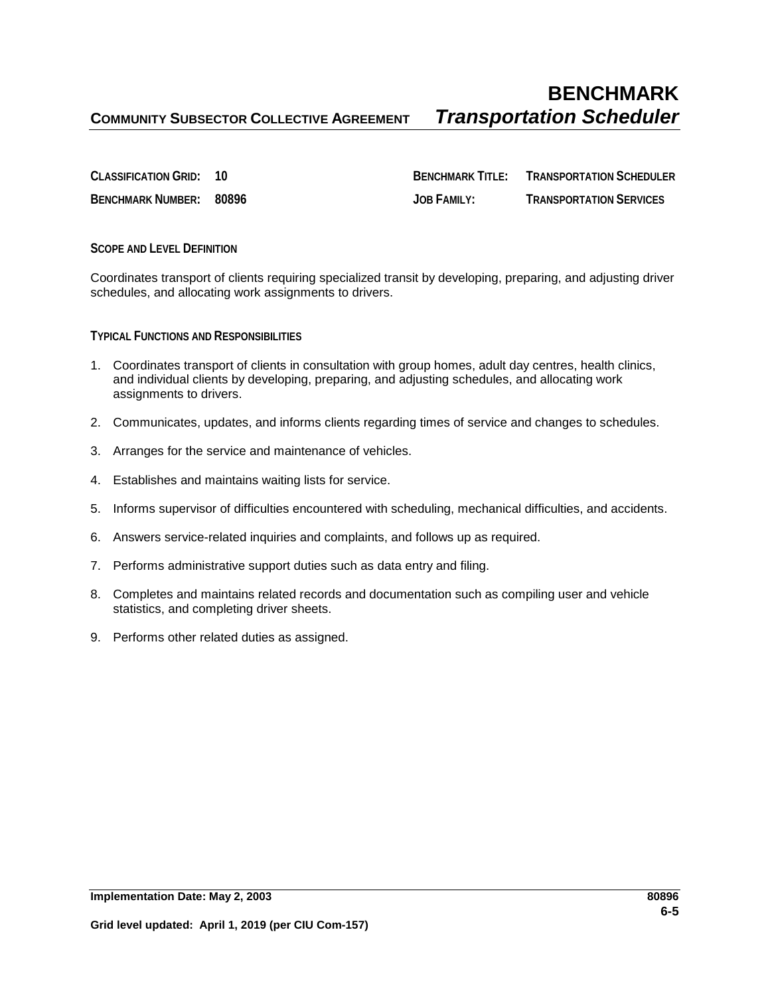**CLASSIFICATION GRID: 10 BENCHMARK TITLE: TRANSPORTATION SCHEDULER BENCHMARK NUMBER: 80896 JOB FAMILY: TRANSPORTATION SERVICES**

## **SCOPE AND LEVEL DEFINITION**

Coordinates transport of clients requiring specialized transit by developing, preparing, and adjusting driver schedules, and allocating work assignments to drivers.

**TYPICAL FUNCTIONS AND RESPONSIBILITIES**

- 1. Coordinates transport of clients in consultation with group homes, adult day centres, health clinics, and individual clients by developing, preparing, and adjusting schedules, and allocating work assignments to drivers.
- 2. Communicates, updates, and informs clients regarding times of service and changes to schedules.
- 3. Arranges for the service and maintenance of vehicles.
- 4. Establishes and maintains waiting lists for service.
- 5. Informs supervisor of difficulties encountered with scheduling, mechanical difficulties, and accidents.
- 6. Answers service-related inquiries and complaints, and follows up as required.
- 7. Performs administrative support duties such as data entry and filing.
- 8. Completes and maintains related records and documentation such as compiling user and vehicle statistics, and completing driver sheets.
- 9. Performs other related duties as assigned.